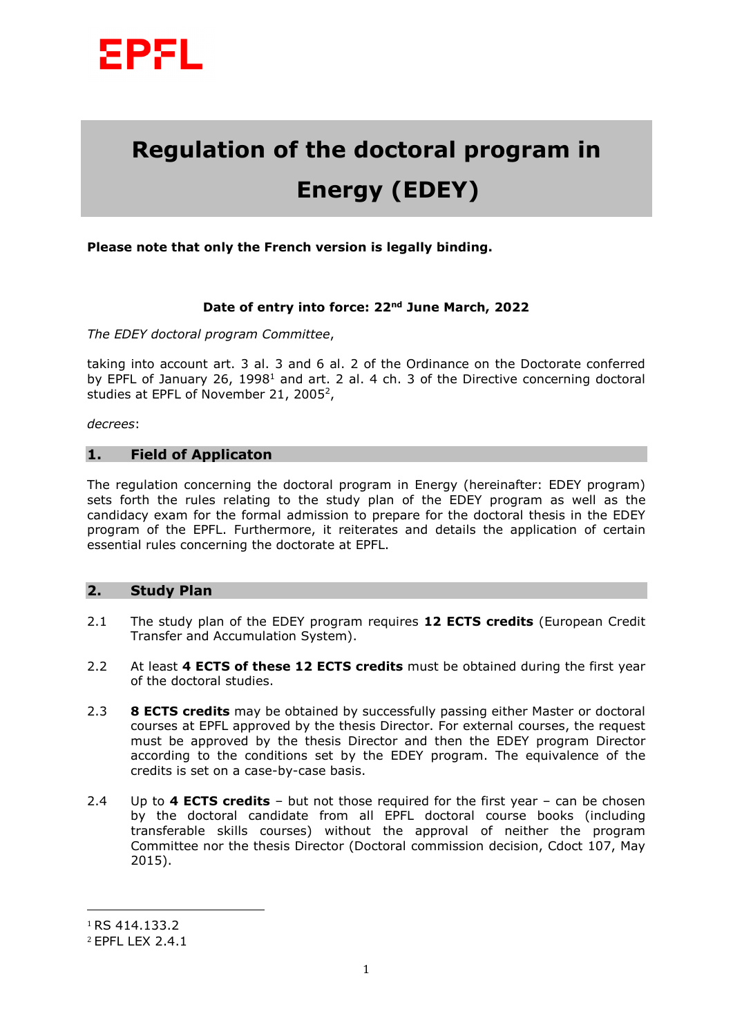

# **Regulation of the doctoral program in Energy (EDEY)**

**Please note that only the French version is legally binding.** 

#### **Date of entry into force: 22nd June March, 2022**

*The EDEY doctoral program Committee*,

taking into account art. 3 al. 3 and 6 al. 2 of the Ordinance on the Doctorate conferred by EPFL of January 26, 1998<sup>1</sup> and art. 2 al. 4 ch. 3 of the Directive concerning doctoral studies at EPFL of November 21, 2005<sup>2</sup>,

*decrees*:

## **1. Field of Applicaton**

The regulation concerning the doctoral program in Energy (hereinafter: EDEY program) sets forth the rules relating to the study plan of the EDEY program as well as the candidacy exam for the formal admission to prepare for the doctoral thesis in the EDEY program of the EPFL. Furthermore, it reiterates and details the application of certain essential rules concerning the doctorate at EPFL.

### **2. Study Plan**

- 2.1 The study plan of the EDEY program requires **12 ECTS credits** (European Credit Transfer and Accumulation System).
- 2.2 At least **4 ECTS of these 12 ECTS credits** must be obtained during the first year of the doctoral studies.
- 2.3 **8 ECTS credits** may be obtained by successfully passing either Master or doctoral courses at EPFL approved by the thesis Director. For external courses, the request must be approved by the thesis Director and then the EDEY program Director according to the conditions set by the EDEY program. The equivalence of the credits is set on a case-by-case basis.
- 2.4 Up to **4 ECTS credits** but not those required for the first year can be chosen by the doctoral candidate from all EPFL doctoral course books (including transferable skills courses) without the approval of neither the program Committee nor the thesis Director (Doctoral commission decision, Cdoct 107, May 2015).

 $\overline{a}$ 

<sup>1</sup> RS 414.133.2

<sup>2</sup> EPFL LEX 2.4.1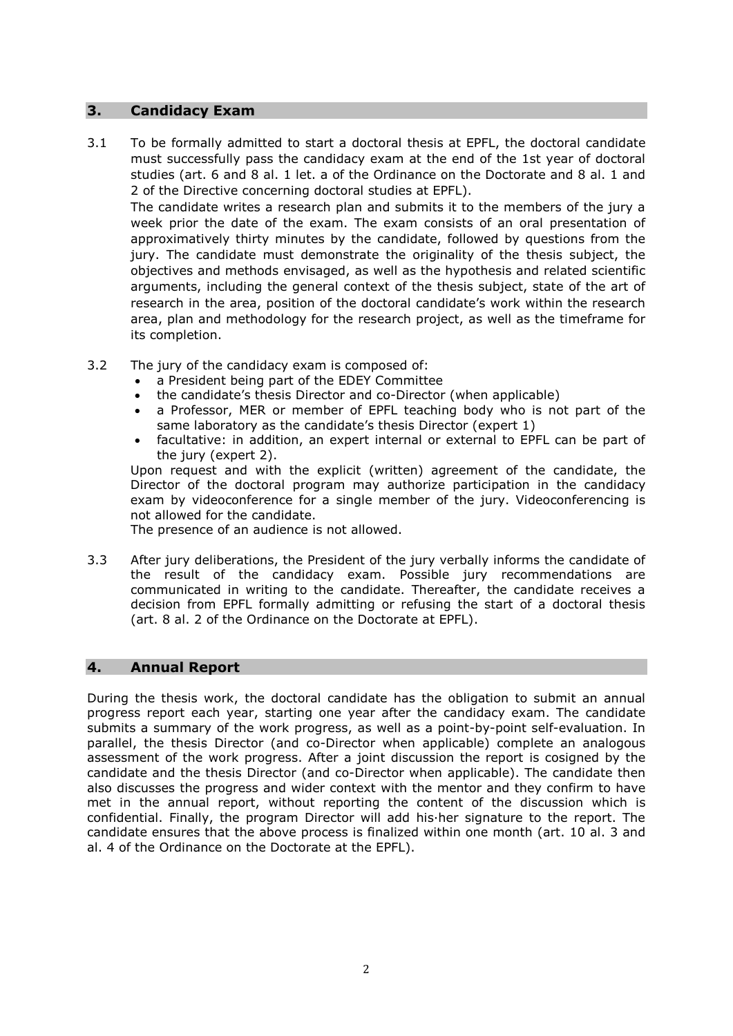### **3. Candidacy Exam**

3.1 To be formally admitted to start a doctoral thesis at EPFL, the doctoral candidate must successfully pass the candidacy exam at the end of the 1st year of doctoral studies (art. 6 and 8 al. 1 let. a of the Ordinance on the Doctorate and 8 al. 1 and 2 of the Directive concerning doctoral studies at EPFL).

The candidate writes a research plan and submits it to the members of the jury a week prior the date of the exam. The exam consists of an oral presentation of approximatively thirty minutes by the candidate, followed by questions from the jury. The candidate must demonstrate the originality of the thesis subject, the objectives and methods envisaged, as well as the hypothesis and related scientific arguments, including the general context of the thesis subject, state of the art of research in the area, position of the doctoral candidate's work within the research area, plan and methodology for the research project, as well as the timeframe for its completion.

- 3.2 The jury of the candidacy exam is composed of:
	- a President being part of the EDEY Committee
	- the candidate's thesis Director and co-Director (when applicable)
	- a Professor, MER or member of EPFL teaching body who is not part of the same laboratory as the candidate's thesis Director (expert 1)
	- facultative: in addition, an expert internal or external to EPFL can be part of the jury (expert 2).

Upon request and with the explicit (written) agreement of the candidate, the Director of the doctoral program may authorize participation in the candidacy exam by videoconference for a single member of the jury. Videoconferencing is not allowed for the candidate.

The presence of an audience is not allowed.

3.3 After jury deliberations, the President of the jury verbally informs the candidate of the result of the candidacy exam. Possible jury recommendations are communicated in writing to the candidate. Thereafter, the candidate receives a decision from EPFL formally admitting or refusing the start of a doctoral thesis (art. 8 al. 2 of the Ordinance on the Doctorate at EPFL).

### **4. Annual Report**

During the thesis work, the doctoral candidate has the obligation to submit an annual progress report each year, starting one year after the candidacy exam. The candidate submits a summary of the work progress, as well as a point-by-point self-evaluation. In parallel, the thesis Director (and co-Director when applicable) complete an analogous assessment of the work progress. After a joint discussion the report is cosigned by the candidate and the thesis Director (and co-Director when applicable). The candidate then also discusses the progress and wider context with the mentor and they confirm to have met in the annual report, without reporting the content of the discussion which is confidential. Finally, the program Director will add his·her signature to the report. The candidate ensures that the above process is finalized within one month (art. 10 al. 3 and al. 4 of the Ordinance on the Doctorate at the EPFL).